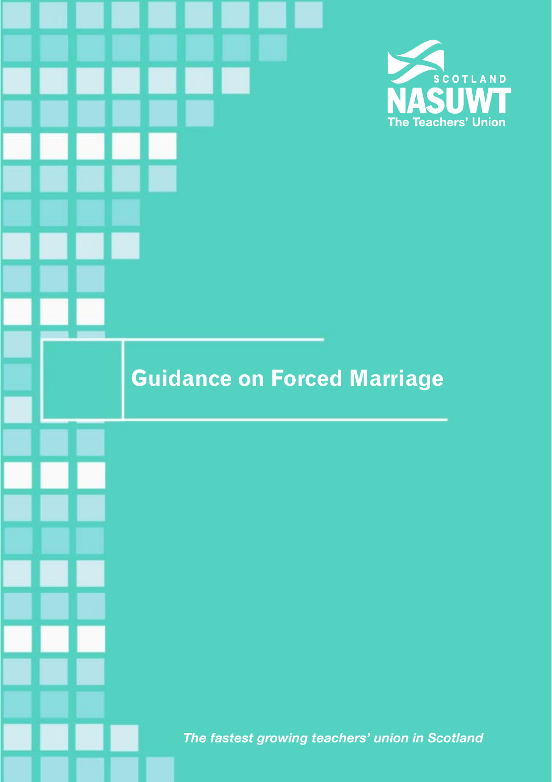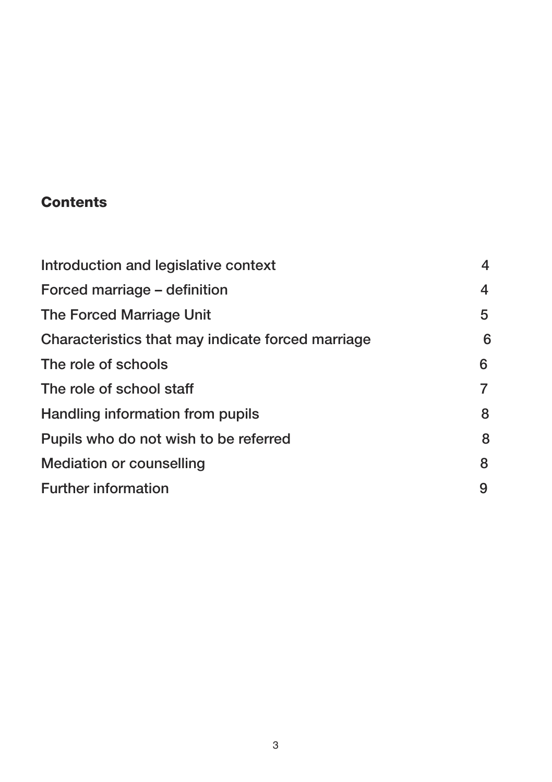### **Contents**

| Introduction and legislative context              | 4 |
|---------------------------------------------------|---|
| Forced marriage – definition                      | 4 |
| The Forced Marriage Unit                          | 5 |
| Characteristics that may indicate forced marriage | 6 |
| The role of schools                               | 6 |
| The role of school staff                          | 7 |
| Handling information from pupils                  | 8 |
| Pupils who do not wish to be referred             | 8 |
| <b>Mediation or counselling</b>                   | 8 |
| <b>Further information</b>                        | 9 |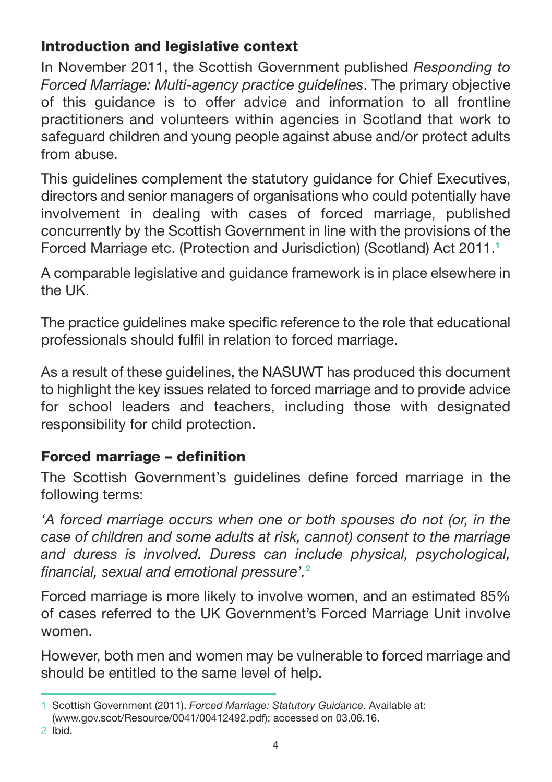# Introduction and legislative context

In November 2011, the Scottish Government published *Responding to Forced Marriage: Multi-agency practice guidelines*. The primary objective of this guidance is to offer advice and information to all frontline practitioners and volunteers within agencies in Scotland that work to safeguard children and young people against abuse and/or protect adults from abuse.

This guidelines complement the statutory guidance for Chief Executives, directors and senior managers of organisations who could potentially have involvement in dealing with cases of forced marriage, published concurrently by the Scottish Government in line with the provisions of the Forced Marriage etc. (Protection and Jurisdiction) (Scotland) Act 2011.**<sup>1</sup>**

A comparable legislative and guidance framework is in place elsewhere in the UK.

The practice guidelines make specific reference to the role that educational professionals should fulfil in relation to forced marriage.

As a result of these guidelines, the NASUWT has produced this document to highlight the key issues related to forced marriage and to provide advice for school leaders and teachers, including those with designated responsibility for child protection.

# Forced marriage – definition

The Scottish Government's guidelines define forced marriage in the following terms:

*'A forced marriage occurs when one or both spouses do not (or, in the case of children and some adults at risk, cannot) consent to the marriage and duress is involved. Duress can include physical, psychological, financial, sexual and emotional pressure'.***<sup>2</sup>**

Forced marriage is more likely to involve women, and an estimated 85% of cases referred to the UK Government's Forced Marriage Unit involve women.

However, both men and women may be vulnerable to forced marriage and should be entitled to the same level of help.

2 Ibid.

<sup>1</sup> Scottish Government (2011). *Forced Marriage: Statutory Guidance*. Available at:

<sup>(</sup>www.gov.scot/Resource/0041/00412492.pdf); accessed on 03.06.16.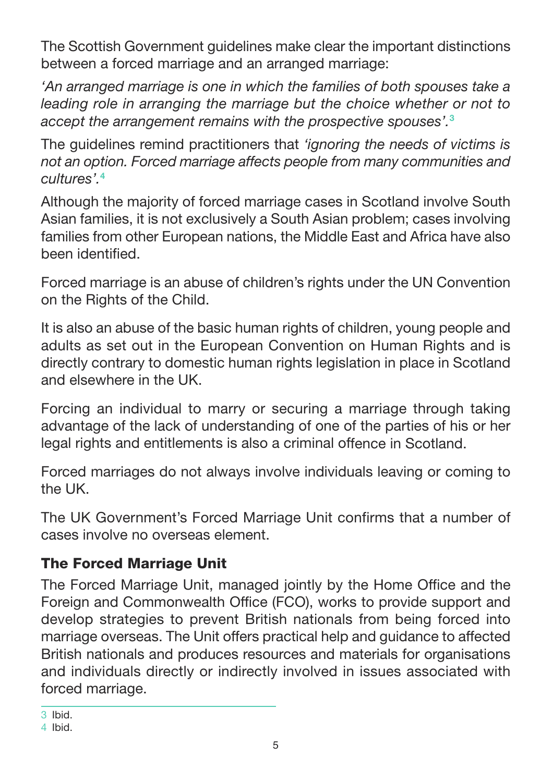The Scottish Government guidelines make clear the important distinctions between a forced marriage and an arranged marriage:

*'An arranged marriage is one in which the families of both spouses take a*  leading role in arranging the marriage but the choice whether or not to *accept the arrangement remains with the prospective spouses'.***<sup>3</sup>**

The guidelines remind practitioners that *'ignoring the needs of victims is not an option. Forced marriage affects people from many communities and cultures'.***<sup>4</sup>**

Although the majority of forced marriage cases in Scotland involve South Asian families, it is not exclusively a South Asian problem; cases involving families from other European nations, the Middle East and Africa have also been identified.

Forced marriage is an abuse of children's rights under the UN Convention on the Rights of the Child.

It is also an abuse of the basic human rights of children, young people and adults as set out in the European Convention on Human Rights and is directly contrary to domestic human rights legislation in place in Scotland and elsewhere in the UK.

Forcing an individual to marry or securing a marriage through taking advantage of the lack of understanding of one of the parties of his or her legal rights and entitlements is also a criminal offence in Scotland.

Forced marriages do not always involve individuals leaving or coming to the UK.

The UK Government's Forced Marriage Unit confirms that a number of cases involve no overseas element.

### The Forced Marriage Unit

The Forced Marriage Unit, managed jointly by the Home Office and the Foreign and Commonwealth Office (FCO), works to provide support and develop strategies to prevent British nationals from being forced into marriage overseas. The Unit offers practical help and guidance to affected British nationals and produces resources and materials for organisations and individuals directly or indirectly involved in issues associated with forced marriage.

<sup>3</sup> Ibid.

<sup>4</sup> Ibid.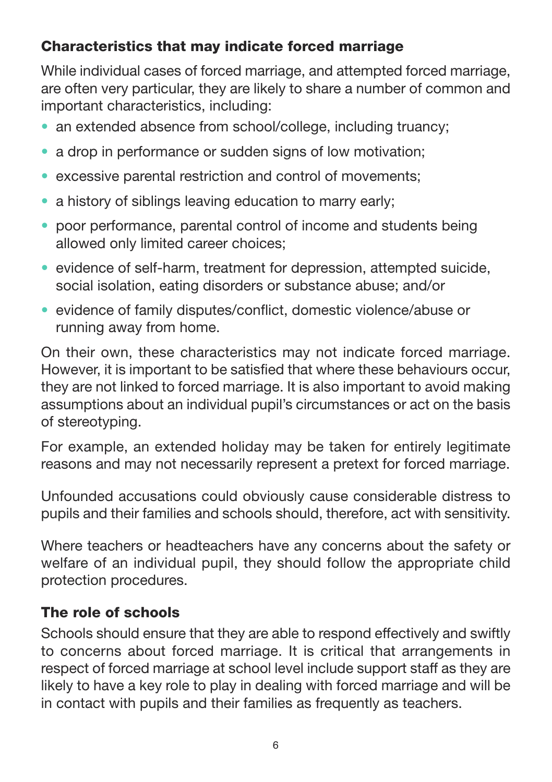# Characteristics that may indicate forced marriage

While individual cases of forced marriage, and attempted forced marriage, are often very particular, they are likely to share a number of common and important characteristics, including:

- an extended absence from school/college, including truancy;
- a drop in performance or sudden signs of low motivation;
- excessive parental restriction and control of movements;
- a history of siblings leaving education to marry early:
- poor performance, parental control of income and students being allowed only limited career choices;
- evidence of self-harm, treatment for depression, attempted suicide, social isolation, eating disorders or substance abuse; and/or
- evidence of family disputes/conflict, domestic violence/abuse or running away from home.

On their own, these characteristics may not indicate forced marriage. However, it is important to be satisfied that where these behaviours occur, they are not linked to forced marriage. It is also important to avoid making assumptions about an individual pupil's circumstances or act on the basis of stereotyping.

For example, an extended holiday may be taken for entirely legitimate reasons and may not necessarily represent a pretext for forced marriage.

Unfounded accusations could obviously cause considerable distress to pupils and their families and schools should, therefore, act with sensitivity.

Where teachers or headteachers have any concerns about the safety or welfare of an individual pupil, they should follow the appropriate child protection procedures.

### The role of schools

Schools should ensure that they are able to respond effectively and swiftly to concerns about forced marriage. It is critical that arrangements in respect of forced marriage at school level include support staff as they are likely to have a key role to play in dealing with forced marriage and will be in contact with pupils and their families as frequently as teachers.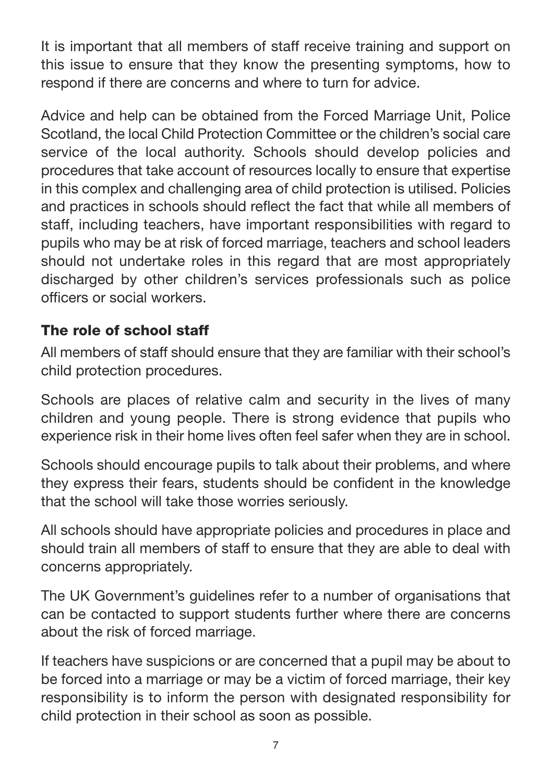It is important that all members of staff receive training and support on this issue to ensure that they know the presenting symptoms, how to respond if there are concerns and where to turn for advice.

Advice and help can be obtained from the Forced Marriage Unit, Police Scotland, the local Child Protection Committee or the children's social care service of the local authority. Schools should develop policies and procedures that take account of resources locally to ensure that expertise in this complex and challenging area of child protection is utilised. Policies and practices in schools should reflect the fact that while all members of staff, including teachers, have important responsibilities with regard to pupils who may be at risk of forced marriage, teachers and school leaders should not undertake roles in this regard that are most appropriately discharged by other children's services professionals such as police officers or social workers.

### The role of school staff

All members of staff should ensure that they are familiar with their school's child protection procedures.

Schools are places of relative calm and security in the lives of many children and young people. There is strong evidence that pupils who experience risk in their home lives often feel safer when they are in school.

Schools should encourage pupils to talk about their problems, and where they express their fears, students should be confident in the knowledge that the school will take those worries seriously.

All schools should have appropriate policies and procedures in place and should train all members of staff to ensure that they are able to deal with concerns appropriately.

The UK Government's guidelines refer to a number of organisations that can be contacted to support students further where there are concerns about the risk of forced marriage.

If teachers have suspicions or are concerned that a pupil may be about to be forced into a marriage or may be a victim of forced marriage, their key responsibility is to inform the person with designated responsibility for child protection in their school as soon as possible.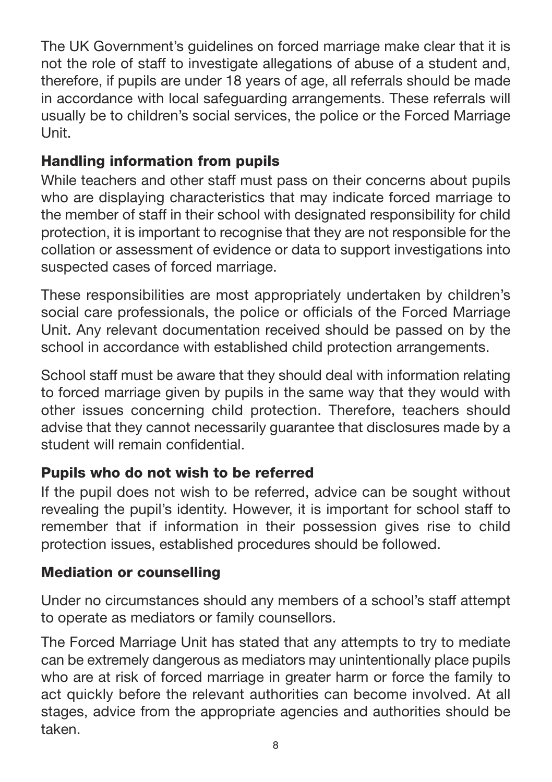The UK Government's guidelines on forced marriage make clear that it is not the role of staff to investigate allegations of abuse of a student and, therefore, if pupils are under 18 years of age, all referrals should be made in accordance with local safeguarding arrangements. These referrals will usually be to children's social services, the police or the Forced Marriage Unit.

# Handling information from pupils

While teachers and other staff must pass on their concerns about pupils who are displaying characteristics that may indicate forced marriage to the member of staff in their school with designated responsibility for child protection, it is important to recognise that they are not responsible for the collation or assessment of evidence or data to support investigations into suspected cases of forced marriage.

These responsibilities are most appropriately undertaken by children's social care professionals, the police or officials of the Forced Marriage Unit. Any relevant documentation received should be passed on by the school in accordance with established child protection arrangements.

School staff must be aware that they should deal with information relating to forced marriage given by pupils in the same way that they would with other issues concerning child protection. Therefore, teachers should advise that they cannot necessarily guarantee that disclosures made by a student will remain confidential.

### Pupils who do not wish to be referred

If the pupil does not wish to be referred, advice can be sought without revealing the pupil's identity. However, it is important for school staff to remember that if information in their possession gives rise to child protection issues, established procedures should be followed.

#### Mediation or counselling

Under no circumstances should any members of a school's staff attempt to operate as mediators or family counsellors.

The Forced Marriage Unit has stated that any attempts to try to mediate can be extremely dangerous as mediators may unintentionally place pupils who are at risk of forced marriage in greater harm or force the family to act quickly before the relevant authorities can become involved. At all stages, advice from the appropriate agencies and authorities should be taken.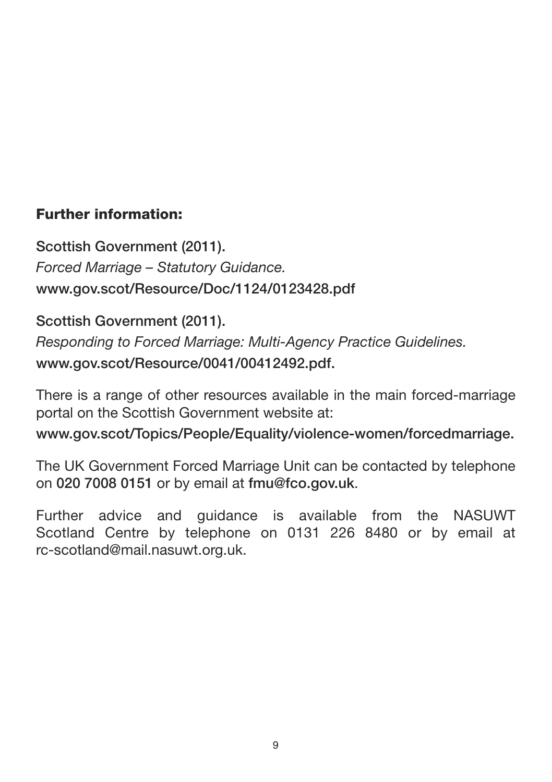### Further information:

Scottish Government (2011). *Forced Marriage – Statutory Guidance.*  www.gov.scot/Resource/Doc/1124/0123428.pdf

Scottish Government (2011). *Responding to Forced Marriage: Multi-Agency Practice Guidelines.*  www.gov.scot/Resource/0041/00412492.pdf.

There is a range of other resources available in the main forced-marriage portal on the Scottish Government website at:

www.gov.scot/Topics/People/Equality/violence-women/forcedmarriage.

The UK Government Forced Marriage Unit can be contacted by telephone on 020 7008 0151 or by email at fmu@fco.gov.uk.

Further advice and guidance is available from the NASUWT Scotland Centre by telephone on 0131 226 8480 or by email at rc-scotland@mail.nasuwt.org.uk.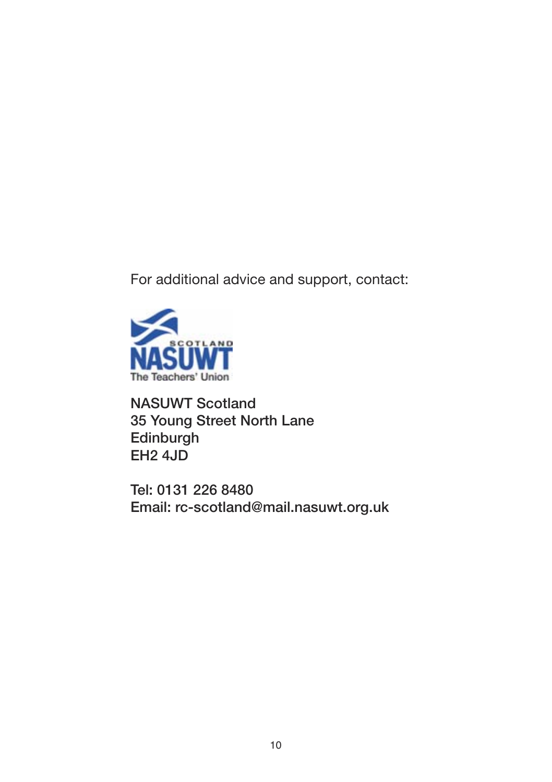For additional advice and support, contact:



NASUWT Scotland 35 Young Street North Lane **Edinburgh** EH2 4JD

Tel: 0131 226 8480 Email: rc-scotland@mail.nasuwt.org.uk